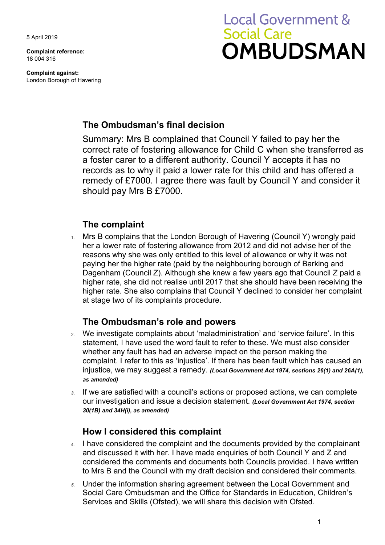5 April 2019

**Complaint reference:**  18 004 316

**Complaint against:**  London Borough of Havering

# **Local Government & Social Care OMBUDSMAN**

## **The Ombudsman's final decision**

Summary: Mrs B complained that Council Y failed to pay her the correct rate of fostering allowance for Child C when she transferred as a foster carer to a different authority. Council Y accepts it has no records as to why it paid a lower rate for this child and has offered a remedy of £7000. I agree there was fault by Council Y and consider it should pay Mrs B £7000.

## **The complaint**

 Dagenham (Council Z). Although she knew a few years ago that Council Z paid a higher rate, she did not realise until 2017 that she should have been receiving the 1. Mrs B complains that the London Borough of Havering (Council Y) wrongly paid her a lower rate of fostering allowance from 2012 and did not advise her of the reasons why she was only entitled to this level of allowance or why it was not paying her the higher rate (paid by the neighbouring borough of Barking and higher rate. She also complains that Council Y declined to consider her complaint at stage two of its complaints procedure.

## **The Ombudsman's role and powers**

- 2. We investigate complaints about 'maladministration' and 'service failure'. In this statement, I have used the word fault to refer to these. We must also consider whether any fault has had an adverse impact on the person making the complaint. I refer to this as 'injustice'. If there has been fault which has caused an injustice, we may suggest a remedy. *(Local Government Act 1974, sections 26(1) and 26A(1), as amended)*
- our investigation and issue a decision statement. *(Local Government Act 1974, section 3.* If we are satisfied with a council's actions or proposed actions, we can complete *30(1B) and 34H(i), as amended)*

# **How I considered this complaint**

- 4. I have considered the complaint and the documents provided by the complainant to Mrs B and the Council with my draft decision and considered their comments. and discussed it with her. I have made enquiries of both Council Y and Z and considered the comments and documents both Councils provided. I have written
- *5.* Under the information sharing agreement between the Local Government and Social Care Ombudsman and the Office for Standards in Education, Children's Services and Skills (Ofsted), we will share this decision with Ofsted.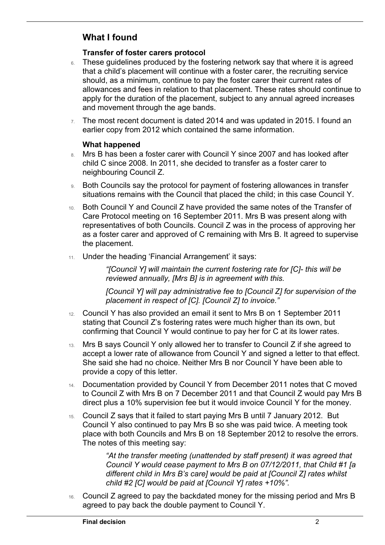## **What I found**

 $\overline{a}$ 

#### **Transfer of foster carers protocol**

- that a child's placement will continue with a foster carer, the recruiting service should, as a minimum, continue to pay the foster carer their current rates of allowances and fees in relation to that placement. These rates should continue to apply for the duration of the placement, subject to any annual agreed increases 6. These quidelines produced by the fostering network say that where it is agreed and movement through the age bands.
- earlier copy from 2012 which contained the same information. 7. The most recent document is dated 2014 and was updated in 2015. I found an

#### **What happened**

- child C since 2008. In 2011, she decided to transfer as a foster carer to 8. Mrs B has been a foster carer with Council Y since 2007 and has looked after neighbouring Council Z.
- 9. Both Councils say the protocol for payment of fostering allowances in transfer situations remains with the Council that placed the child; in this case Council Y.
- 10. Both Council Y and Council Z have provided the same notes of the Transfer of Care Protocol meeting on 16 September 2011. Mrs B was present along with representatives of both Councils. Council Z was in the process of approving her as a foster carer and approved of C remaining with Mrs B. It agreed to supervise the placement.
- 11. Under the heading 'Financial Arrangement' it says:

 *"[Council Y] will maintain the current fostering rate for [C]- this will be reviewed annually, [Mrs B] is in agreement with this.* 

*[Council Y] will pay administrative fee to [Council Z] for supervision of the placement in respect of [C]. [Council Z] to invoice."* 

- 12. Council Y has also provided an email it sent to Mrs B on 1 September 2011 stating that Council Z's fostering rates were much higher than its own, but confirming that Council Y would continue to pay her for C at its lower rates.
- 13. Mrs B says Council Y only allowed her to transfer to Council Z if she agreed to accept a lower rate of allowance from Council Y and signed a letter to that effect. She said she had no choice. Neither Mrs B nor Council Y have been able to provide a copy of this letter.
- to Council Z with Mrs B on 7 December 2011 and that Council Z would pay Mrs B 14. Documentation provided by Council Y from December 2011 notes that C moved direct plus a 10% supervision fee but it would invoice Council Y for the money.
- 15. Council Z says that it failed to start paying Mrs B until 7 January 2012. But Council Y also continued to pay Mrs B so she was paid twice. A meeting took place with both Councils and Mrs B on 18 September 2012 to resolve the errors. The notes of this meeting say:

*"At the transfer meeting (unattended by staff present) it was agreed that Council Y would cease payment to Mrs B on 07/12/2011, that Child #1 [a different child in Mrs B's care] would be paid at [Council Z] rates whilst child #2 [C] would be paid at [Council Y] rates +10%".* 

16. Council Z agreed to pay the backdated money for the missing period and Mrs B agreed to pay back the double payment to Council Y.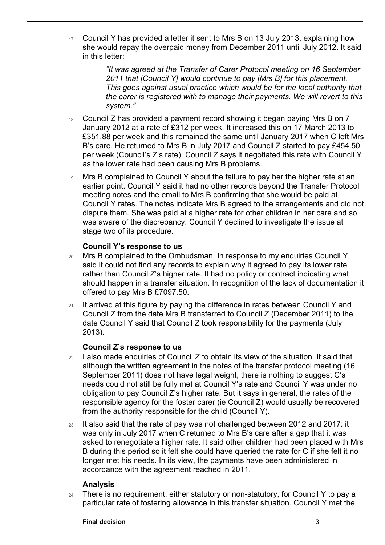17. Council Y has provided a letter it sent to Mrs B on 13 July 2013, explaining how she would repay the overpaid money from December 2011 until July 2012. It said in this letter:

> *"It was agreed at the Transfer of Carer Protocol meeting on 16 September 2011 that [Council Y] would continue to pay [Mrs B] for this placement. This goes against usual practice which would be for the local authority that the carer is registered with to manage their payments. We will revert to this system."*

- 18. Council Z has provided a payment record showing it began paying Mrs B on 7 £351.88 per week and this remained the same until January 2017 when C left Mrs January 2012 at a rate of £312 per week. It increased this on 17 March 2013 to B's care. He returned to Mrs B in July 2017 and Council Z started to pay £454.50 per week (Council's Z's rate). Council Z says it negotiated this rate with Council Y as the lower rate had been causing Mrs B problems.
- meeting notes and the email to Mrs B confirming that she would be paid at dispute them. She was paid at a higher rate for other children in her care and so was aware of the discrepancy. Council Y declined to investigate the issue at 19. Mrs B complained to Council Y about the failure to pay her the higher rate at an earlier point. Council Y said it had no other records beyond the Transfer Protocol Council Y rates. The notes indicate Mrs B agreed to the arrangements and did not stage two of its procedure.

#### **Council Y's response to us**

 $\overline{a}$ 

- 20. Mrs B complained to the Ombudsman. In response to my enquiries Council Y said it could not find any records to explain why it agreed to pay its lower rate rather than Council Z's higher rate. It had no policy or contract indicating what should happen in a transfer situation. In recognition of the lack of documentation it offered to pay Mrs B £7097.50.
- date Council Y said that Council Z took responsibility for the payments (July 21. It arrived at this figure by paying the difference in rates between Council Y and Council Z from the date Mrs B transferred to Council Z (December 2011) to the 2013).

#### **Council Z's response to us**

- responsible agency for the foster carer (ie Council Z) would usually be recovered 22. I also made enquiries of Council Z to obtain its view of the situation. It said that although the written agreement in the notes of the transfer protocol meeting (16 September 2011) does not have legal weight, there is nothing to suggest C's needs could not still be fully met at Council Y's rate and Council Y was under no obligation to pay Council Z's higher rate. But it says in general, the rates of the from the authority responsible for the child (Council Y).
- B during this period so it felt she could have queried the rate for C if she felt it no 23. It also said that the rate of pay was not challenged between 2012 and 2017: it was only in July 2017 when C returned to Mrs B's care after a gap that it was asked to renegotiate a higher rate. It said other children had been placed with Mrs longer met his needs. In its view, the payments have been administered in accordance with the agreement reached in 2011.

#### **Analysis**

24. There is no requirement, either statutory or non-statutory, for Council Y to pay a particular rate of fostering allowance in this transfer situation. Council Y met the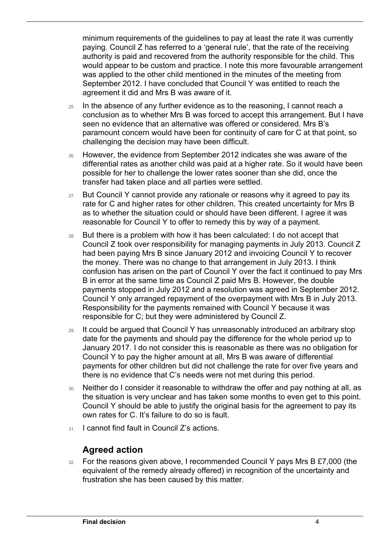minimum requirements of the guidelines to pay at least the rate it was currently paying. Council Z has referred to a 'general rule', that the rate of the receiving authority is paid and recovered from the authority responsible for the child. This would appear to be custom and practice. I note this more favourable arrangement was applied to the other child mentioned in the minutes of the meeting from September 2012. I have concluded that Council Y was entitled to reach the agreement it did and Mrs B was aware of it.

- challenging the decision may have been difficult. 25. In the absence of any further evidence as to the reasoning, I cannot reach a conclusion as to whether Mrs B was forced to accept this arrangement. But I have seen no evidence that an alternative was offered or considered. Mrs B's paramount concern would have been for continuity of care for C at that point, so
- 26. However, the evidence from September 2012 indicates she was aware of the differential rates as another child was paid at a higher rate. So it would have been possible for her to challenge the lower rates sooner than she did, once the transfer had taken place and all parties were settled.
- 27. But Council Y cannot provide any rationale or reasons why it agreed to pay its rate for C and higher rates for other children. This created uncertainty for Mrs B as to whether the situation could or should have been different. I agree it was reasonable for Council Y to offer to remedy this by way of a payment.
- confusion has arisen on the part of Council Y over the fact it continued to pay Mrs 28. But there is a problem with how it has been calculated: I do not accept that Council Z took over responsibility for managing payments in July 2013. Council Z had been paying Mrs B since January 2012 and invoicing Council Y to recover the money. There was no change to that arrangement in July 2013. I think B in error at the same time as Council Z paid Mrs B. However, the double payments stopped in July 2012 and a resolution was agreed in September 2012. Council Y only arranged repayment of the overpayment with Mrs B in July 2013. Responsibility for the payments remained with Council Y because it was responsible for C; but they were administered by Council Z.
- payments for other children but did not challenge the rate for over five years and 29. It could be argued that Council Y has unreasonably introduced an arbitrary stop date for the payments and should pay the difference for the whole period up to January 2017. I do not consider this is reasonable as there was no obligation for Council Y to pay the higher amount at all, Mrs B was aware of differential there is no evidence that C's needs were not met during this period.
- 30. Neither do I consider it reasonable to withdraw the offer and pay nothing at all, as the situation is very unclear and has taken some months to even get to this point. Council Y should be able to justify the original basis for the agreement to pay its own rates for C. It's failure to do so is fault.
- 31. I cannot find fault in Council Z's actions.

### **Agreed action**

 $\overline{a}$ 

32. For the reasons given above, I recommended Council Y pays Mrs B £7,000 (the equivalent of the remedy already offered) in recognition of the uncertainty and frustration she has been caused by this matter.